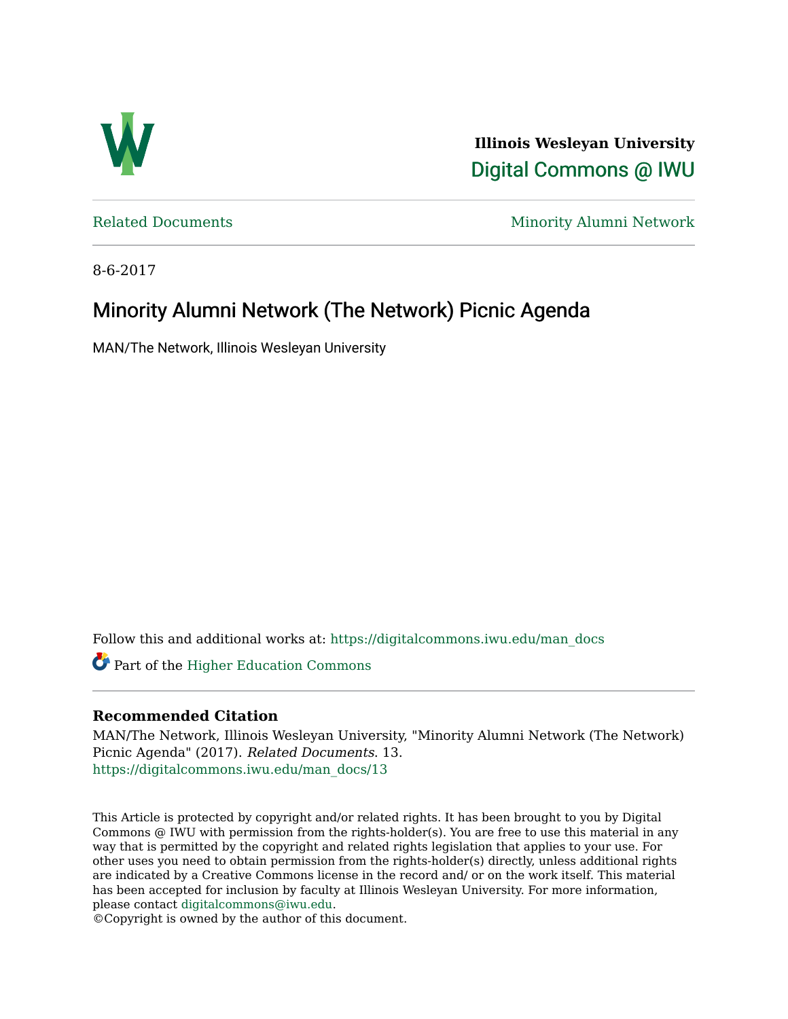

**Illinois Wesleyan University**  [Digital Commons @ IWU](https://digitalcommons.iwu.edu/) 

[Related Documents](https://digitalcommons.iwu.edu/man_docs) Minority Alumni Network

8-6-2017

# Minority Alumni Network (The Network) Picnic Agenda

MAN/The Network, Illinois Wesleyan University

Follow this and additional works at: [https://digitalcommons.iwu.edu/man\\_docs](https://digitalcommons.iwu.edu/man_docs?utm_source=digitalcommons.iwu.edu%2Fman_docs%2F13&utm_medium=PDF&utm_campaign=PDFCoverPages) 

Part of the [Higher Education Commons](http://network.bepress.com/hgg/discipline/1245?utm_source=digitalcommons.iwu.edu%2Fman_docs%2F13&utm_medium=PDF&utm_campaign=PDFCoverPages) 

# **Recommended Citation**

MAN/The Network, Illinois Wesleyan University, "Minority Alumni Network (The Network) Picnic Agenda" (2017). Related Documents. 13. [https://digitalcommons.iwu.edu/man\\_docs/13](https://digitalcommons.iwu.edu/man_docs/13?utm_source=digitalcommons.iwu.edu%2Fman_docs%2F13&utm_medium=PDF&utm_campaign=PDFCoverPages)

This Article is protected by copyright and/or related rights. It has been brought to you by Digital Commons @ IWU with permission from the rights-holder(s). You are free to use this material in any way that is permitted by the copyright and related rights legislation that applies to your use. For other uses you need to obtain permission from the rights-holder(s) directly, unless additional rights are indicated by a Creative Commons license in the record and/ or on the work itself. This material has been accepted for inclusion by faculty at Illinois Wesleyan University. For more information, please contact [digitalcommons@iwu.edu.](mailto:digitalcommons@iwu.edu)

©Copyright is owned by the author of this document.